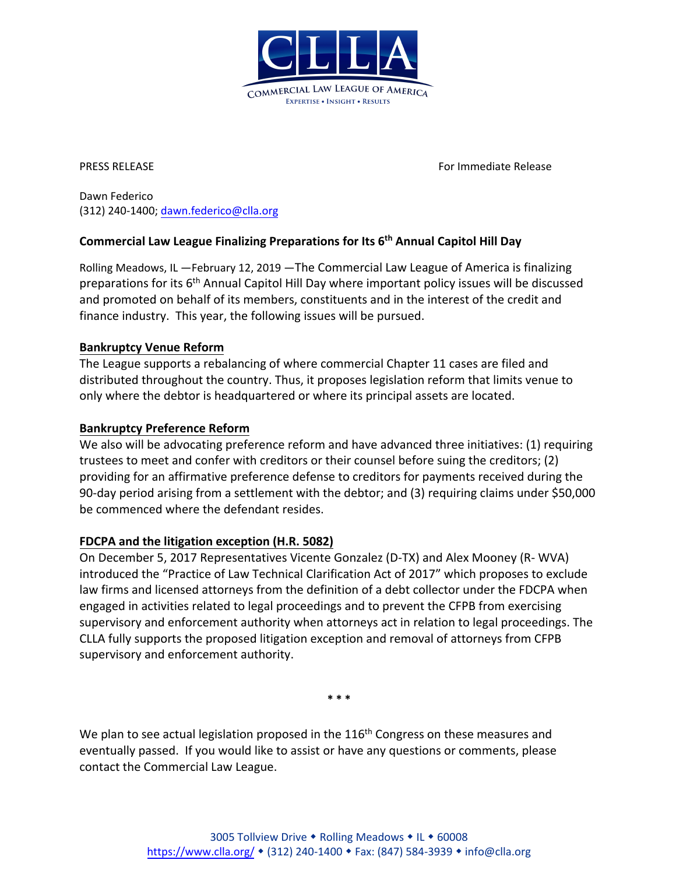

PRESS RELEASE For Immediate Release

Dawn Federico (312) 240-1400[; dawn.federico@clla.org](mailto:dawn.federico@clla.org)

# **Commercial Law League Finalizing Preparations for Its 6th Annual Capitol Hill Day**

Rolling Meadows, IL —February 12, 2019 —The Commercial Law League of America is finalizing preparations for its 6<sup>th</sup> Annual Capitol Hill Day where important policy issues will be discussed and promoted on behalf of its members, constituents and in the interest of the credit and finance industry. This year, the following issues will be pursued.

# **Bankruptcy Venue Reform**

The League supports a rebalancing of where commercial Chapter 11 cases are filed and distributed throughout the country. Thus, it proposes legislation reform that limits venue to only where the debtor is headquartered or where its principal assets are located.

## **Bankruptcy Preference Reform**

We also will be advocating preference reform and have advanced three initiatives: (1) requiring trustees to meet and confer with creditors or their counsel before suing the creditors; (2) providing for an affirmative preference defense to creditors for payments received during the 90-day period arising from a settlement with the debtor; and (3) requiring claims under \$50,000 be commenced where the defendant resides.

# **FDCPA and the litigation exception (H.R. 5082)**

On December 5, 2017 Representatives Vicente Gonzalez (D-TX) and Alex Mooney (R- WVA) introduced the "Practice of Law Technical Clarification Act of 2017" which proposes to exclude law firms and licensed attorneys from the definition of a debt collector under the FDCPA when engaged in activities related to legal proceedings and to prevent the CFPB from exercising supervisory and enforcement authority when attorneys act in relation to legal proceedings. The CLLA fully supports the proposed litigation exception and removal of attorneys from CFPB supervisory and enforcement authority.

**\* \* \***

We plan to see actual legislation proposed in the  $116<sup>th</sup>$  Congress on these measures and eventually passed. If you would like to assist or have any questions or comments, please contact the Commercial Law League.